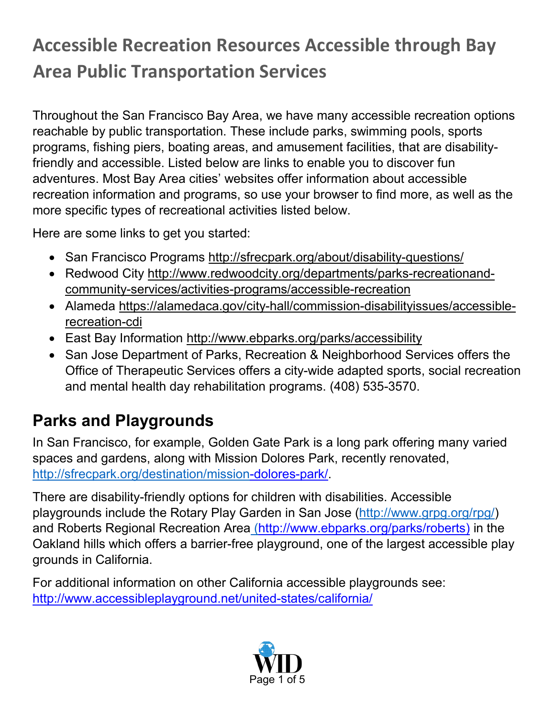# **Accessible Recreation Resources Accessible through Bay Area Public Transportation Services**

Throughout the San Francisco Bay Area, we have many accessible recreation options reachable by public transportation. These include parks, swimming pools, sports programs, fishing piers, boating areas, and amusement facilities, that are disabilityfriendly and accessible. Listed below are links to enable you to discover fun adventures. Most Bay Area cities' websites offer information about accessible recreation information and programs, so use your browser to find more, as well as the more specific types of recreational activities listed below.

Here are some links to get you started:

- San Francisco Programs<http://sfrecpark.org/about/disability-questions/>
- Redwood City [http://www.redwoodcity.org/departments/parks-recreationand](http://www.redwoodcity.org/departments/parks-recreation-and-community-services/activities-programs/accessible-recreation)[community-services/activities-programs/accessible-recreation](http://www.redwoodcity.org/departments/parks-recreation-and-community-services/activities-programs/accessible-recreation)
- Alameda [https://alamedaca.gov/city-hall/commission-disabilityissues/accessible](https://alamedaca.gov/city-hall/commission-disability-issues/accessible-recreation-cdi)[recreation-cdi](https://alamedaca.gov/city-hall/commission-disability-issues/accessible-recreation-cdi)
- East Bay Information<http://www.ebparks.org/parks/accessibility>
- San Jose [Department of Parks, Recreation & Neighborhood Services o](http://www.sanjoseca.gov/index.aspx?NID=204)ffers the Office of Therapeutic Services offers a city-wide adapted sports, social recreation and mental health day rehabilitation programs. (408) 535-3570.

# **Parks and Playgrounds**

In San Francisco, for example, Golden Gate Park is a long park offering many varied spaces and gardens, along with Mission Dolores Park, recently renovated, <http://sfrecpark.org/destination/mission>[-dolores-park/.](http://sfrecpark.org/destination/mission-dolores-park/)

There are disability-friendly options for children with disabilities. Accessible playgrounds include the Rotary Play Garden in San Jose [\(http://www.grpg.org/rpg/\)](http://www.grpg.org/rpg/) and Roberts Regional Recreation Area ([http://www.ebparks.org/parks/roberts\)](http://www.ebparks.org/parks/roberts) in the Oakland hills which offers a barrier-free playground, one of the largest accessible play grounds in California.

For additional information on other California accessible playgrounds see: <http://www.accessibleplayground.net/united-states/california/>

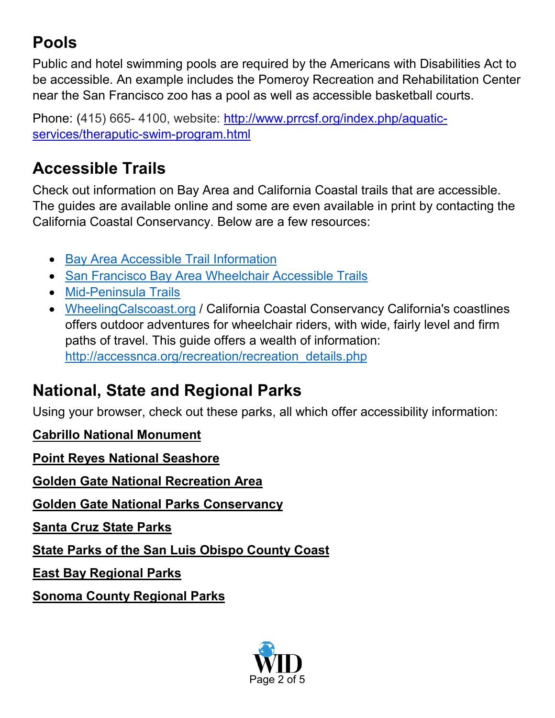# **Pools**

Public and hotel swimming pools are required by the Americans with Disabilities Act to be accessible. An example includes the Pomeroy Recreation and Rehabilitation Center near the San Francisco zoo has a pool as well as accessible basketball courts.

Phone: (415) 665-4100, website: [http://www.prrcsf.org/index.php/aquatic](http://www.prrcsf.org/index.php/aquatic-services/theraputic-swim-program.html)[services/theraputic-swim-program.html](http://www.prrcsf.org/index.php/aquatic-services/theraputic-swim-program.html)

### **Accessible Trails**

Check out information on Bay Area and California Coastal trails that are accessible. The guides are available online and some are even available in print by contacting the California Coastal Conservancy. Below are a few resources:

- [Bay Area Accessible Trail Information](http://bahiker.com/extras/allaccess.html)
- [San Francisco Bay Area Wheelchair Accessible Trails](http://www.wheelchairtrails.net/)
- [Mid-Peninsula](http://www.openspace.org/what-todo/activities/accessible) Trails
- WheelingCalscoast.org / California Coastal Conservancy California's coastlines offers outdoor adventures for wheelchair riders, with wide, fairly level and firm paths of travel. This guide offers a wealth of information: [http://accessnca.org/recreation/recreation\\_details.php](http://accessnca.org/recreation/recreation_details.php)

#### **National, State and Regional Parks**

Using your browser, check out these parks, all which offer accessibility information:

**[Cabrillo National Monument](http://www.nps.gov/cabr/planyourvisit/accessibility.htm)**

**[Point Reyes National Seashore](http://www.nps.gov/pore/planyourvisit/accessibility.htm)**

**[Golden Gate National Recreation Area](http://www.nps.gov/goga/planyourvisit/accessibility.htm)**

**[Golden Gate National Parks Conservancy](http://www.parksconservancy.org/)**

**[Santa Cruz State Parks](http://www.santacruzstateparks.org/)**

**[State Parks of the San Luis Obispo County Coast](http://www.slostateparks.com/)**

**[East Bay Regional Parks](http://www.ebparks.org/parks/accessibility)**

**[Sonoma County Regional Parks](http://www.sonoma-county.org/parks/accessible.htm)**

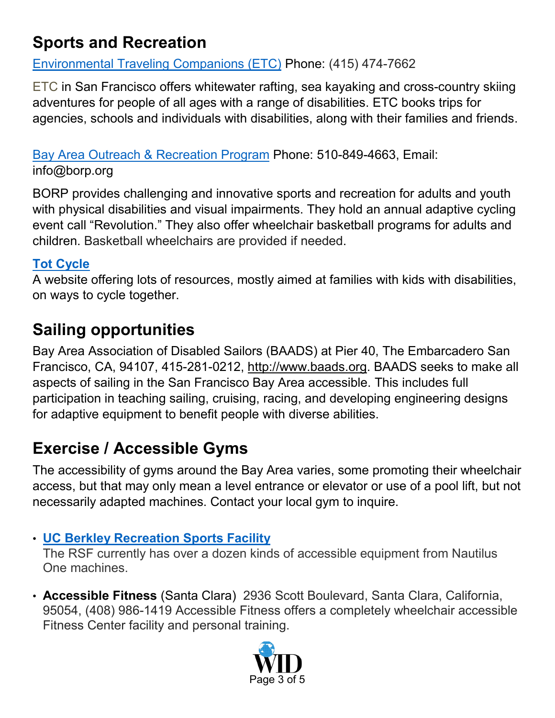## **Sports and Recreation**

[Environmental Traveling Companions \(ETC\)](http://www.etctrips.org/) Phone: (415) 474-7662

[ETC](http://www.etctrips.org/) [i](http://www.etctrips.org/)n San Francisco offers whitewater rafting, sea kayaking and cross-country skiing adventures for people of all ages with a range of disabilities. ETC books trips for agencies, schools and individuals with disabilities, along with their families and friends.

[Bay Area Outreach & Recreation Program](http://www.borp.org/) Phone: 510-849-4663, Email: info@borp.org

BORP provides challenging and innovative sports and recreation for adults and youth with physical disabilities and visual impairments. They hold an annual adaptive cycling event call "Revolution." They also offer wheelchair basketball programs for adults and children. Basketball wheelchairs are provided if needed.

#### **[Tot Cycle](http://totcycle.com/)**

A website offering lots of resources, mostly aimed at families with kids with disabilities, on ways to cycle together.

# **Sailing opportunities**

Bay Area Association of Disabled Sailors (BAADS) at Pier 40, The Embarcadero San Francisco, CA, 94107, 415-281-0212, [http://www.baads.org.](http://www.baads.org/) BAADS seeks to make all aspects of sailing in the San Francisco Bay Area accessible. This includes full participation in teaching sailing, cruising, racing, and developing engineering designs for adaptive equipment to benefit people with diverse abilities.

# **Exercise / Accessible Gyms**

The accessibility of gyms around the Bay Area varies, some promoting their wheelchair access, but that may only mean a level entrance or elevator or use of a pool lift, but not necessarily adapted machines. Contact your local gym to inquire.

#### • **[UC Berkley Recreation Sports Facility](http://recsports.berkeley.edu/about/member-services/membership-types/cal-star/)**

The RSF currently has over a dozen kinds of accessible equipment from Nautilus One machines.

• **[Accessible Fitness](http://www.accessiblefitness.com/)** (Santa Clara) 2936 Scott Boulevard, Santa Clara, California, 95054, (408) 986-1419 Accessible Fitness offers a completely wheelchair accessible Fitness Center facility and personal training.

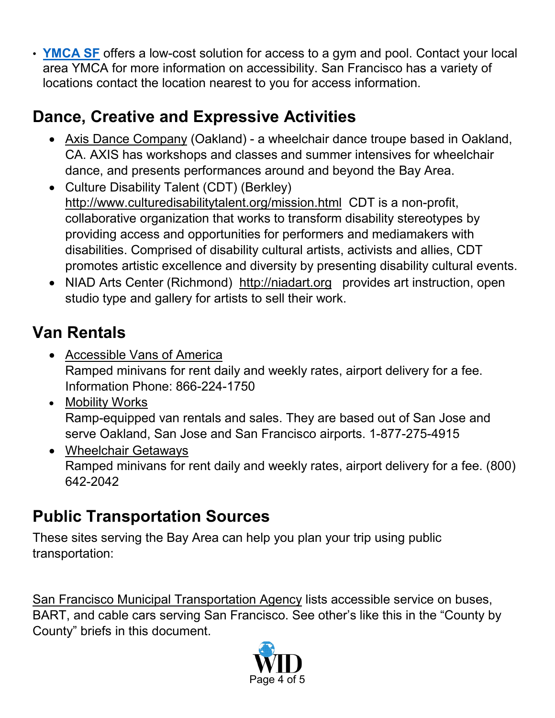• **[YMCA](http://www.ymcasf.org/) SF** offers a low-cost solution for access to a gym and pool. Contact your local area YMCA for more information on accessibility. San Francisco has a variety of locations contact the location nearest to you for access information[.](http://www.ymcasf.org/)

# **Dance, Creative and Expressive Activities**

- [Axis Dance Company](http://www.axisdance.org/) (Oakland) a wheelchair dance troupe based in Oakland, CA. AXIS has workshops and classes and summer intensives for wheelchair dance, and presents performances around and beyond the Bay Area.
- Culture Disability Talent (CDT) (Berkley) <http://www.culturedisabilitytalent.org/mission.html> CDT is a non-profit, collaborative organization that works to transform disability stereotypes by providing access and opportunities for performers and mediamakers with disabilities. Comprised of disability cultural artists, activists and allies, CDT promotes artistic excellence and diversity by presenting disability cultural events.
- NIAD Arts Center (Richmond) [http://niadart.org](http://niadart.org/) provides art instruction, open studio type and gallery for artists to sell their work.

# **Van Rentals**

- [Accessible Vans of America](http://www.accessiblevans.com/) Ramped minivans for rent daily and weekly rates, airport delivery for a fee. Information Phone: 866-224-1750
- [Mobility Works](http://www.mobilityworks.com/SanJose.php) Ramp-equipped van rentals and sales. They are based out of San Jose and serve Oakland, San Jose and San Francisco airports. 1-877-275-4915
- [Wheelchair Getaways](http://www.wheelchairgetaways.com/) Ramped minivans for rent daily and weekly rates, airport delivery for a fee. (800) 642-2042

## **Public Transportation Sources**

These sites serving the Bay Area can help you plan your trip using public transportation:

[San Francisco Municipal Transportation Agency](http://www.sfmta.com/cms/mcust/access.htm) lists accessible service on buses, BART, and cable cars serving San Francisco. See other's like this in the "County by County" briefs in this document.